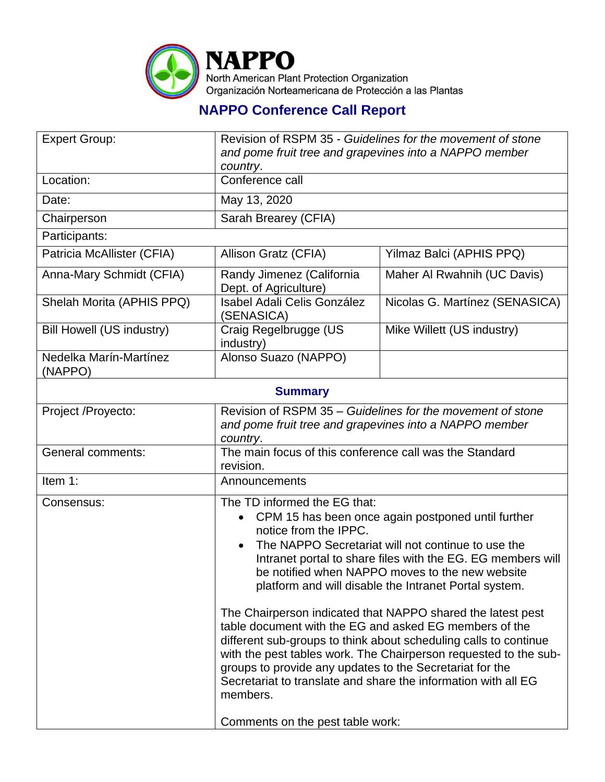

## **NAPPO Conference Call Report**

| <b>Expert Group:</b>              | Revision of RSPM 35 - Guidelines for the movement of stone<br>and pome fruit tree and grapevines into a NAPPO member<br>country.                                                                                                                                                                                                                                                                                                                                                                                                                                                                              |                                                                |  |  |
|-----------------------------------|---------------------------------------------------------------------------------------------------------------------------------------------------------------------------------------------------------------------------------------------------------------------------------------------------------------------------------------------------------------------------------------------------------------------------------------------------------------------------------------------------------------------------------------------------------------------------------------------------------------|----------------------------------------------------------------|--|--|
| Location:                         | Conference call                                                                                                                                                                                                                                                                                                                                                                                                                                                                                                                                                                                               |                                                                |  |  |
| Date:                             | May 13, 2020                                                                                                                                                                                                                                                                                                                                                                                                                                                                                                                                                                                                  |                                                                |  |  |
| Chairperson                       | Sarah Brearey (CFIA)                                                                                                                                                                                                                                                                                                                                                                                                                                                                                                                                                                                          |                                                                |  |  |
| Participants:                     |                                                                                                                                                                                                                                                                                                                                                                                                                                                                                                                                                                                                               |                                                                |  |  |
| Patricia McAllister (CFIA)        | Allison Gratz (CFIA)                                                                                                                                                                                                                                                                                                                                                                                                                                                                                                                                                                                          | Yilmaz Balci (APHIS PPQ)                                       |  |  |
| Anna-Mary Schmidt (CFIA)          | Randy Jimenez (California<br>Dept. of Agriculture)                                                                                                                                                                                                                                                                                                                                                                                                                                                                                                                                                            | Maher Al Rwahnih (UC Davis)                                    |  |  |
| Shelah Morita (APHIS PPQ)         | <b>Isabel Adali Celis González</b><br>(SENASICA)                                                                                                                                                                                                                                                                                                                                                                                                                                                                                                                                                              | Nicolas G. Martínez (SENASICA)                                 |  |  |
| <b>Bill Howell (US industry)</b>  | Craig Regelbrugge (US<br>industry)                                                                                                                                                                                                                                                                                                                                                                                                                                                                                                                                                                            | Mike Willett (US industry)                                     |  |  |
| Nedelka Marín-Martínez<br>(NAPPO) | Alonso Suazo (NAPPO)                                                                                                                                                                                                                                                                                                                                                                                                                                                                                                                                                                                          |                                                                |  |  |
| <b>Summary</b>                    |                                                                                                                                                                                                                                                                                                                                                                                                                                                                                                                                                                                                               |                                                                |  |  |
| Project /Proyecto:                | Revision of RSPM 35 – Guidelines for the movement of stone<br>and pome fruit tree and grapevines into a NAPPO member<br>country.                                                                                                                                                                                                                                                                                                                                                                                                                                                                              |                                                                |  |  |
| General comments:                 | The main focus of this conference call was the Standard<br>revision.                                                                                                                                                                                                                                                                                                                                                                                                                                                                                                                                          |                                                                |  |  |
| Item 1:                           | Announcements                                                                                                                                                                                                                                                                                                                                                                                                                                                                                                                                                                                                 |                                                                |  |  |
| Consensus:                        | The TD informed the EG that:<br>CPM 15 has been once again postponed until further<br>notice from the IPPC.<br>The NAPPO Secretariat will not continue to use the<br>Intranet portal to share files with the EG. EG members will<br>be notified when NAPPO moves to the new website<br>platform and will disable the Intranet Portal system.<br>The Chairperson indicated that NAPPO shared the latest pest<br>table document with the EG and asked EG members of the<br>different sub-groups to think about scheduling calls to continue<br>with the pest tables work. The Chairperson requested to the sub- |                                                                |  |  |
|                                   | groups to provide any updates to the Secretariat for the<br>members.<br>Comments on the pest table work:                                                                                                                                                                                                                                                                                                                                                                                                                                                                                                      | Secretariat to translate and share the information with all EG |  |  |